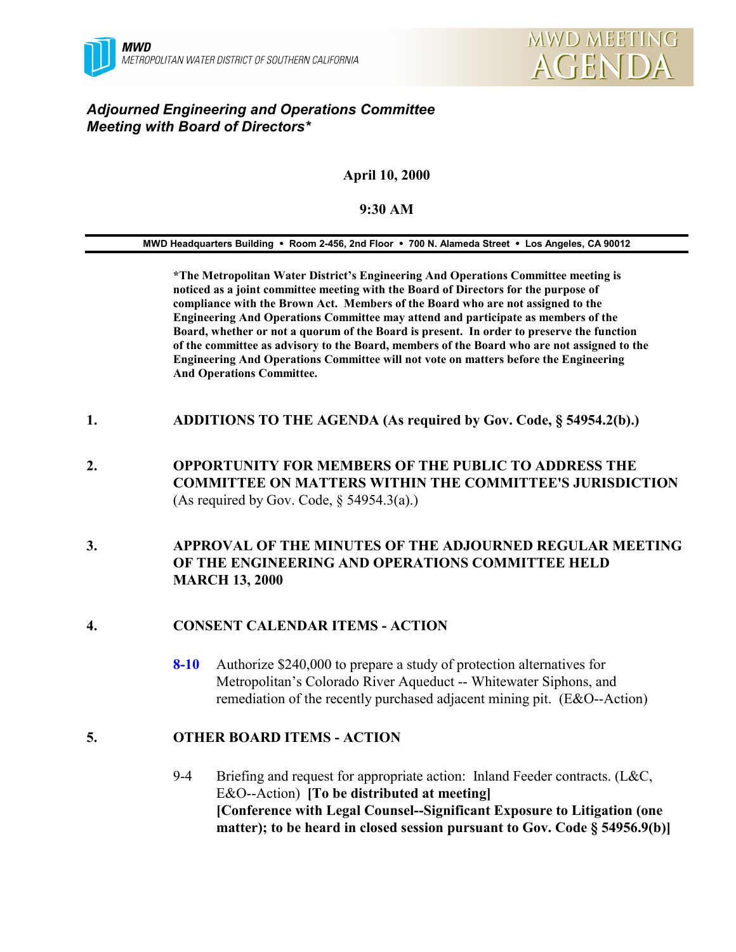# *Adjourned Engineering and Operations Committee Meeting with Board of Directors\**

# **April 10, 2000**

#### **9:30 AM**

**MWD Headquarters Building** ! **Room 2-456, 2nd Floor** ! **700 N. Alameda Street** ! **Los Angeles, CA 90012**

**\*The Metropolitan Water District's Engineering And Operations Committee meeting is noticed as a joint committee meeting with the Board of Directors for the purpose of compliance with the Brown Act. Members of the Board who are not assigned to the Engineering And Operations Committee may attend and participate as members of the Board, whether or not a quorum of the Board is present. In order to preserve the function of the committee as advisory to the Board, members of the Board who are not assigned to the Engineering And Operations Committee will not vote on matters before the Engineering And Operations Committee.**

- **1. ADDITIONS TO THE AGENDA (As required by Gov. Code, § 54954.2(b).)**
- **2. OPPORTUNITY FOR MEMBERS OF THE PUBLIC TO ADDRESS THE COMMITTEE ON MATTERS WITHIN THE COMMITTEE'S JURISDICTION** (As required by Gov. Code,  $\S$  54954.3(a).)
- **3. APPROVAL OF THE MINUTES OF THE ADJOURNED REGULAR MEETING OF THE ENGINEERING AND OPERATIONS COMMITTEE HELD MARCH 13, 2000**

## **4. CONSENT CALENDAR ITEMS - ACTION**

**8-10** Authorize \$240,000 to prepare a study of protection alternatives for Metropolitan's Colorado River Aqueduct -- Whitewater Siphons, and remediation of the recently purchased adjacent mining pit. (E&O--Action)

## **5. OTHER BOARD ITEMS - ACTION**

9-4 Briefing and request for appropriate action: Inland Feeder contracts. (L&C, E&O--Action) **[To be distributed at meeting] [Conference with Legal Counsel--Significant Exposure to Litigation (one matter); to be heard in closed session pursuant to Gov. Code § 54956.9(b)]**